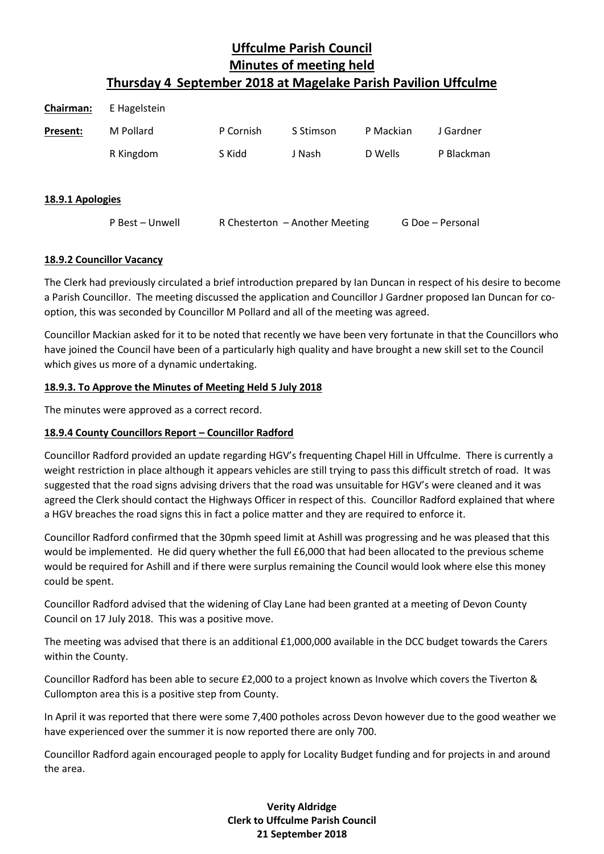| <b>Chairman:</b> | E Hagelstein    |           |                                |           |                  |  |
|------------------|-----------------|-----------|--------------------------------|-----------|------------------|--|
| Present:         | M Pollard       | P Cornish | S Stimson                      | P Mackian | J Gardner        |  |
|                  | R Kingdom       | S Kidd    | J Nash                         | D Wells   | P Blackman       |  |
| 18.9.1 Apologies |                 |           |                                |           |                  |  |
|                  | P Best - Unwell |           | R Chesterton - Another Meeting |           | G Doe - Personal |  |

# **18.9.2 Councillor Vacancy**

The Clerk had previously circulated a brief introduction prepared by Ian Duncan in respect of his desire to become a Parish Councillor. The meeting discussed the application and Councillor J Gardner proposed Ian Duncan for cooption, this was seconded by Councillor M Pollard and all of the meeting was agreed.

Councillor Mackian asked for it to be noted that recently we have been very fortunate in that the Councillors who have joined the Council have been of a particularly high quality and have brought a new skill set to the Council which gives us more of a dynamic undertaking.

# **18.9.3. To Approve the Minutes of Meeting Held 5 July 2018**

The minutes were approved as a correct record.

# **18.9.4 County Councillors Report – Councillor Radford**

Councillor Radford provided an update regarding HGV's frequenting Chapel Hill in Uffculme. There is currently a weight restriction in place although it appears vehicles are still trying to pass this difficult stretch of road. It was suggested that the road signs advising drivers that the road was unsuitable for HGV's were cleaned and it was agreed the Clerk should contact the Highways Officer in respect of this. Councillor Radford explained that where a HGV breaches the road signs this in fact a police matter and they are required to enforce it.

Councillor Radford confirmed that the 30pmh speed limit at Ashill was progressing and he was pleased that this would be implemented. He did query whether the full £6,000 that had been allocated to the previous scheme would be required for Ashill and if there were surplus remaining the Council would look where else this money could be spent.

Councillor Radford advised that the widening of Clay Lane had been granted at a meeting of Devon County Council on 17 July 2018. This was a positive move.

The meeting was advised that there is an additional £1,000,000 available in the DCC budget towards the Carers within the County.

Councillor Radford has been able to secure £2,000 to a project known as Involve which covers the Tiverton & Cullompton area this is a positive step from County.

In April it was reported that there were some 7,400 potholes across Devon however due to the good weather we have experienced over the summer it is now reported there are only 700.

Councillor Radford again encouraged people to apply for Locality Budget funding and for projects in and around the area.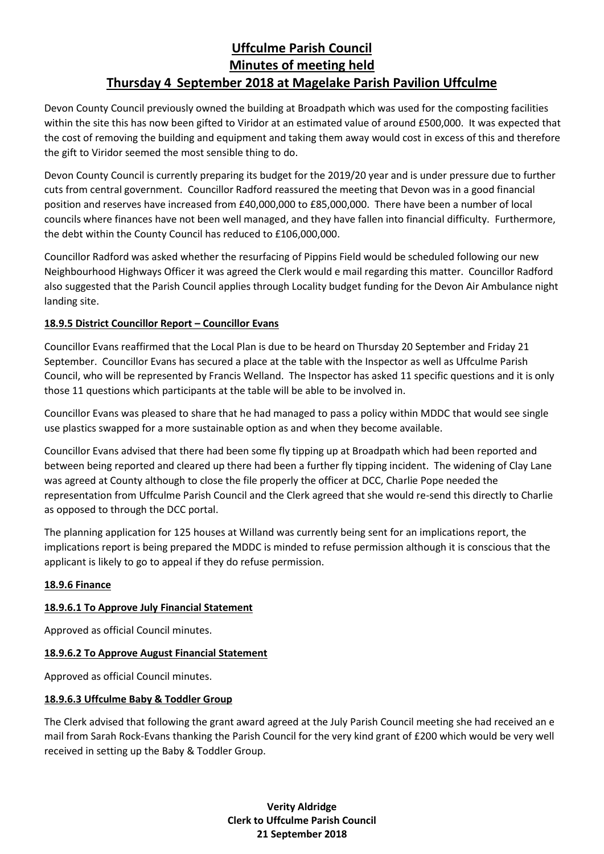Devon County Council previously owned the building at Broadpath which was used for the composting facilities within the site this has now been gifted to Viridor at an estimated value of around £500,000. It was expected that the cost of removing the building and equipment and taking them away would cost in excess of this and therefore the gift to Viridor seemed the most sensible thing to do.

Devon County Council is currently preparing its budget for the 2019/20 year and is under pressure due to further cuts from central government. Councillor Radford reassured the meeting that Devon was in a good financial position and reserves have increased from £40,000,000 to £85,000,000. There have been a number of local councils where finances have not been well managed, and they have fallen into financial difficulty. Furthermore, the debt within the County Council has reduced to £106,000,000.

Councillor Radford was asked whether the resurfacing of Pippins Field would be scheduled following our new Neighbourhood Highways Officer it was agreed the Clerk would e mail regarding this matter. Councillor Radford also suggested that the Parish Council applies through Locality budget funding for the Devon Air Ambulance night landing site.

# **18.9.5 District Councillor Report – Councillor Evans**

Councillor Evans reaffirmed that the Local Plan is due to be heard on Thursday 20 September and Friday 21 September. Councillor Evans has secured a place at the table with the Inspector as well as Uffculme Parish Council, who will be represented by Francis Welland. The Inspector has asked 11 specific questions and it is only those 11 questions which participants at the table will be able to be involved in.

Councillor Evans was pleased to share that he had managed to pass a policy within MDDC that would see single use plastics swapped for a more sustainable option as and when they become available.

Councillor Evans advised that there had been some fly tipping up at Broadpath which had been reported and between being reported and cleared up there had been a further fly tipping incident. The widening of Clay Lane was agreed at County although to close the file properly the officer at DCC, Charlie Pope needed the representation from Uffculme Parish Council and the Clerk agreed that she would re-send this directly to Charlie as opposed to through the DCC portal.

The planning application for 125 houses at Willand was currently being sent for an implications report, the implications report is being prepared the MDDC is minded to refuse permission although it is conscious that the applicant is likely to go to appeal if they do refuse permission.

# **18.9.6 Finance**

# **18.9.6.1 To Approve July Financial Statement**

Approved as official Council minutes.

# **18.9.6.2 To Approve August Financial Statement**

Approved as official Council minutes.

# **18.9.6.3 Uffculme Baby & Toddler Group**

The Clerk advised that following the grant award agreed at the July Parish Council meeting she had received an e mail from Sarah Rock-Evans thanking the Parish Council for the very kind grant of £200 which would be very well received in setting up the Baby & Toddler Group.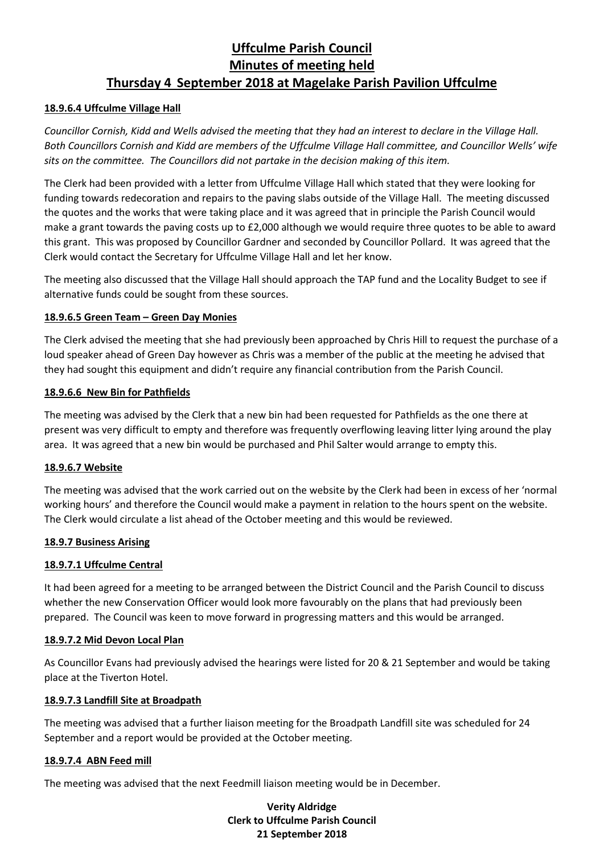## **18.9.6.4 Uffculme Village Hall**

*Councillor Cornish, Kidd and Wells advised the meeting that they had an interest to declare in the Village Hall. Both Councillors Cornish and Kidd are members of the Uffculme Village Hall committee, and Councillor Wells' wife sits on the committee. The Councillors did not partake in the decision making of this item.*

The Clerk had been provided with a letter from Uffculme Village Hall which stated that they were looking for funding towards redecoration and repairs to the paving slabs outside of the Village Hall. The meeting discussed the quotes and the works that were taking place and it was agreed that in principle the Parish Council would make a grant towards the paving costs up to £2,000 although we would require three quotes to be able to award this grant. This was proposed by Councillor Gardner and seconded by Councillor Pollard. It was agreed that the Clerk would contact the Secretary for Uffculme Village Hall and let her know.

The meeting also discussed that the Village Hall should approach the TAP fund and the Locality Budget to see if alternative funds could be sought from these sources.

## **18.9.6.5 Green Team – Green Day Monies**

The Clerk advised the meeting that she had previously been approached by Chris Hill to request the purchase of a loud speaker ahead of Green Day however as Chris was a member of the public at the meeting he advised that they had sought this equipment and didn't require any financial contribution from the Parish Council.

### **18.9.6.6 New Bin for Pathfields**

The meeting was advised by the Clerk that a new bin had been requested for Pathfields as the one there at present was very difficult to empty and therefore was frequently overflowing leaving litter lying around the play area. It was agreed that a new bin would be purchased and Phil Salter would arrange to empty this.

### **18.9.6.7 Website**

The meeting was advised that the work carried out on the website by the Clerk had been in excess of her 'normal working hours' and therefore the Council would make a payment in relation to the hours spent on the website. The Clerk would circulate a list ahead of the October meeting and this would be reviewed.

### **18.9.7 Business Arising**

### **18.9.7.1 Uffculme Central**

It had been agreed for a meeting to be arranged between the District Council and the Parish Council to discuss whether the new Conservation Officer would look more favourably on the plans that had previously been prepared. The Council was keen to move forward in progressing matters and this would be arranged.

### **18.9.7.2 Mid Devon Local Plan**

As Councillor Evans had previously advised the hearings were listed for 20 & 21 September and would be taking place at the Tiverton Hotel.

### **18.9.7.3 Landfill Site at Broadpath**

The meeting was advised that a further liaison meeting for the Broadpath Landfill site was scheduled for 24 September and a report would be provided at the October meeting.

### **18.9.7.4 ABN Feed mill**

The meeting was advised that the next Feedmill liaison meeting would be in December.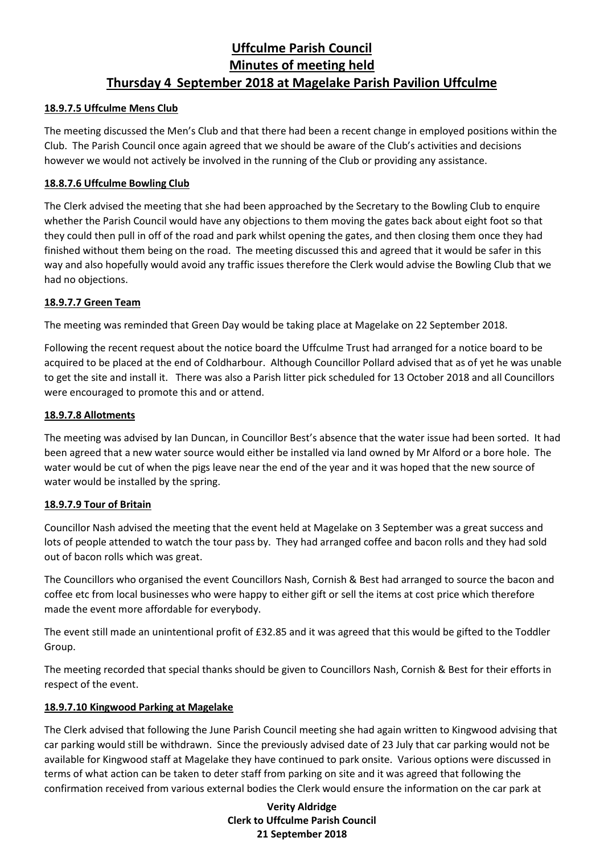# **18.9.7.5 Uffculme Mens Club**

The meeting discussed the Men's Club and that there had been a recent change in employed positions within the Club. The Parish Council once again agreed that we should be aware of the Club's activities and decisions however we would not actively be involved in the running of the Club or providing any assistance.

## **18.8.7.6 Uffculme Bowling Club**

The Clerk advised the meeting that she had been approached by the Secretary to the Bowling Club to enquire whether the Parish Council would have any objections to them moving the gates back about eight foot so that they could then pull in off of the road and park whilst opening the gates, and then closing them once they had finished without them being on the road. The meeting discussed this and agreed that it would be safer in this way and also hopefully would avoid any traffic issues therefore the Clerk would advise the Bowling Club that we had no objections.

## **18.9.7.7 Green Team**

The meeting was reminded that Green Day would be taking place at Magelake on 22 September 2018.

Following the recent request about the notice board the Uffculme Trust had arranged for a notice board to be acquired to be placed at the end of Coldharbour. Although Councillor Pollard advised that as of yet he was unable to get the site and install it. There was also a Parish litter pick scheduled for 13 October 2018 and all Councillors were encouraged to promote this and or attend.

## **18.9.7.8 Allotments**

The meeting was advised by Ian Duncan, in Councillor Best's absence that the water issue had been sorted. It had been agreed that a new water source would either be installed via land owned by Mr Alford or a bore hole. The water would be cut of when the pigs leave near the end of the year and it was hoped that the new source of water would be installed by the spring.

### **18.9.7.9 Tour of Britain**

Councillor Nash advised the meeting that the event held at Magelake on 3 September was a great success and lots of people attended to watch the tour pass by. They had arranged coffee and bacon rolls and they had sold out of bacon rolls which was great.

The Councillors who organised the event Councillors Nash, Cornish & Best had arranged to source the bacon and coffee etc from local businesses who were happy to either gift or sell the items at cost price which therefore made the event more affordable for everybody.

The event still made an unintentional profit of £32.85 and it was agreed that this would be gifted to the Toddler Group.

The meeting recorded that special thanks should be given to Councillors Nash, Cornish & Best for their efforts in respect of the event.

# **18.9.7.10 Kingwood Parking at Magelake**

The Clerk advised that following the June Parish Council meeting she had again written to Kingwood advising that car parking would still be withdrawn. Since the previously advised date of 23 July that car parking would not be available for Kingwood staff at Magelake they have continued to park onsite. Various options were discussed in terms of what action can be taken to deter staff from parking on site and it was agreed that following the confirmation received from various external bodies the Clerk would ensure the information on the car park at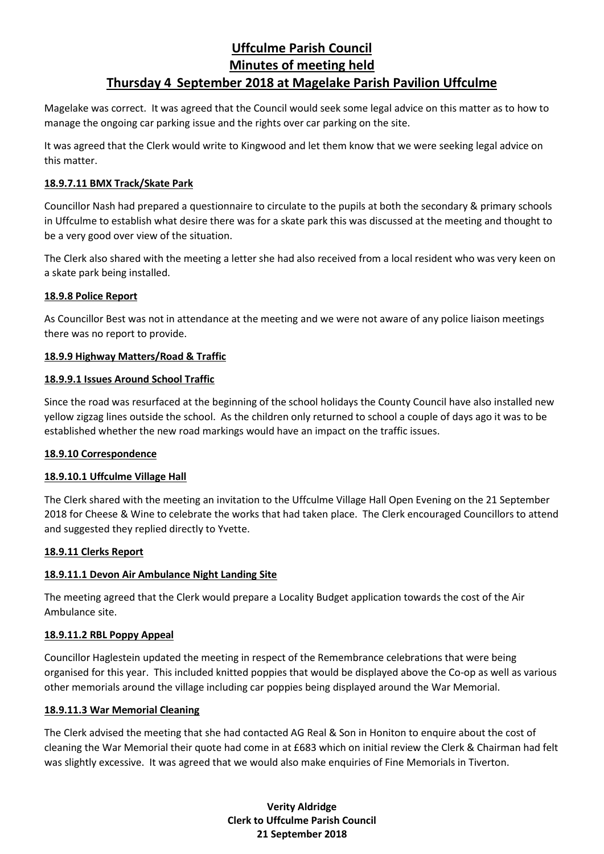Magelake was correct. It was agreed that the Council would seek some legal advice on this matter as to how to manage the ongoing car parking issue and the rights over car parking on the site.

It was agreed that the Clerk would write to Kingwood and let them know that we were seeking legal advice on this matter.

## **18.9.7.11 BMX Track/Skate Park**

Councillor Nash had prepared a questionnaire to circulate to the pupils at both the secondary & primary schools in Uffculme to establish what desire there was for a skate park this was discussed at the meeting and thought to be a very good over view of the situation.

The Clerk also shared with the meeting a letter she had also received from a local resident who was very keen on a skate park being installed.

## **18.9.8 Police Report**

As Councillor Best was not in attendance at the meeting and we were not aware of any police liaison meetings there was no report to provide.

## **18.9.9 Highway Matters/Road & Traffic**

## **18.9.9.1 Issues Around School Traffic**

Since the road was resurfaced at the beginning of the school holidays the County Council have also installed new yellow zigzag lines outside the school. As the children only returned to school a couple of days ago it was to be established whether the new road markings would have an impact on the traffic issues.

# **18.9.10 Correspondence**

### **18.9.10.1 Uffculme Village Hall**

The Clerk shared with the meeting an invitation to the Uffculme Village Hall Open Evening on the 21 September 2018 for Cheese & Wine to celebrate the works that had taken place. The Clerk encouraged Councillors to attend and suggested they replied directly to Yvette.

### **18.9.11 Clerks Report**

# **18.9.11.1 Devon Air Ambulance Night Landing Site**

The meeting agreed that the Clerk would prepare a Locality Budget application towards the cost of the Air Ambulance site.

# **18.9.11.2 RBL Poppy Appeal**

Councillor Haglestein updated the meeting in respect of the Remembrance celebrations that were being organised for this year. This included knitted poppies that would be displayed above the Co-op as well as various other memorials around the village including car poppies being displayed around the War Memorial.

### **18.9.11.3 War Memorial Cleaning**

The Clerk advised the meeting that she had contacted AG Real & Son in Honiton to enquire about the cost of cleaning the War Memorial their quote had come in at £683 which on initial review the Clerk & Chairman had felt was slightly excessive. It was agreed that we would also make enquiries of Fine Memorials in Tiverton.